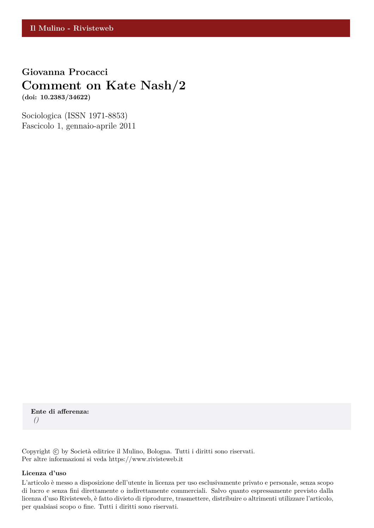## **Giovanna Procacci Comment on Kate Nash/2 (doi: 10.2383/34622)**

Sociologica (ISSN 1971-8853) Fascicolo 1, gennaio-aprile 2011

**Ente di afferenza:** *()*

Copyright © by Società editrice il Mulino, Bologna. Tutti i diritti sono riservati. Per altre informazioni si veda https://www.rivisteweb.it

#### **Licenza d'uso**

L'articolo è messo a disposizione dell'utente in licenza per uso esclusivamente privato e personale, senza scopo di lucro e senza fini direttamente o indirettamente commerciali. Salvo quanto espressamente previsto dalla licenza d'uso Rivisteweb, è fatto divieto di riprodurre, trasmettere, distribuire o altrimenti utilizzare l'articolo, per qualsiasi scopo o fine. Tutti i diritti sono riservati.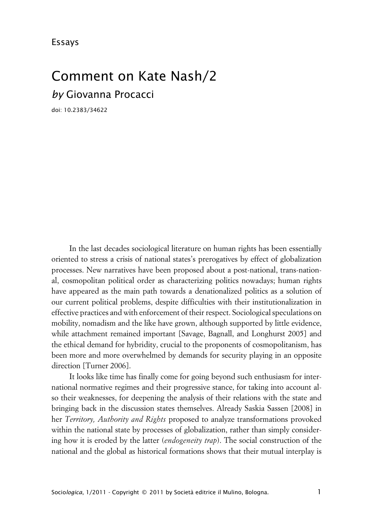# Comment on Kate Nash/2 *by* Giovanna Procacci

doi: 10.2383/34622

In the last decades sociological literature on human rights has been essentially oriented to stress a crisis of national states's prerogatives by effect of globalization processes. New narratives have been proposed about a post-national, trans-national, cosmopolitan political order as characterizing politics nowadays; human rights have appeared as the main path towards a denationalized politics as a solution of our current political problems, despite difficulties with their institutionalization in effective practices and with enforcement of their respect. Sociological speculations on mobility, nomadism and the like have grown, although supported by little evidence, while attachment remained important [Savage, Bagnall, and Longhurst 2005] and the ethical demand for hybridity, crucial to the proponents of cosmopolitanism, has been more and more overwhelmed by demands for security playing in an opposite direction [Turner 2006].

It looks like time has finally come for going beyond such enthusiasm for international normative regimes and their progressive stance, for taking into account also their weaknesses, for deepening the analysis of their relations with the state and bringing back in the discussion states themselves. Already Saskia Sassen [2008] in her *Territory, Authority and Rights* proposed to analyze transformations provoked within the national state by processes of globalization, rather than simply considering how it is eroded by the latter (*endogeneity trap*). The social construction of the national and the global as historical formations shows that their mutual interplay is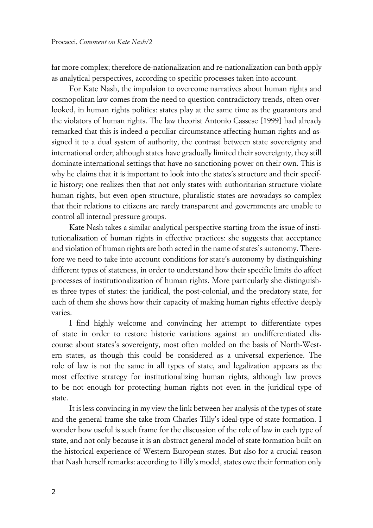far more complex; therefore de-nationalization and re-nationalization can both apply as analytical perspectives, according to specific processes taken into account.

For Kate Nash, the impulsion to overcome narratives about human rights and cosmopolitan law comes from the need to question contradictory trends, often overlooked, in human rights politics: states play at the same time as the guarantors and the violators of human rights. The law theorist Antonio Cassese [1999] had already remarked that this is indeed a peculiar circumstance affecting human rights and assigned it to a dual system of authority, the contrast between state sovereignty and international order; although states have gradually limited their sovereignty, they still dominate international settings that have no sanctioning power on their own. This is why he claims that it is important to look into the states's structure and their specific history; one realizes then that not only states with authoritarian structure violate human rights, but even open structure, pluralistic states are nowadays so complex that their relations to citizens are rarely transparent and governments are unable to control all internal pressure groups.

Kate Nash takes a similar analytical perspective starting from the issue of institutionalization of human rights in effective practices: she suggests that acceptance and violation of human rights are both acted in the name of states's autonomy. Therefore we need to take into account conditions for state's autonomy by distinguishing different types of stateness, in order to understand how their specific limits do affect processes of institutionalization of human rights. More particularly she distinguishes three types of states: the juridical, the post-colonial, and the predatory state, for each of them she shows how their capacity of making human rights effective deeply varies.

I find highly welcome and convincing her attempt to differentiate types of state in order to restore historic variations against an undifferentiated discourse about states's sovereignty, most often molded on the basis of North-Western states, as though this could be considered as a universal experience. The role of law is not the same in all types of state, and legalization appears as the most effective strategy for institutionalizing human rights, although law proves to be not enough for protecting human rights not even in the juridical type of state.

It is less convincing in my view the link between her analysis of the types of state and the general frame she take from Charles Tilly's ideal-type of state formation. I wonder how useful is such frame for the discussion of the role of law in each type of state, and not only because it is an abstract general model of state formation built on the historical experience of Western European states. But also for a crucial reason that Nash herself remarks: according to Tilly's model, states owe their formation only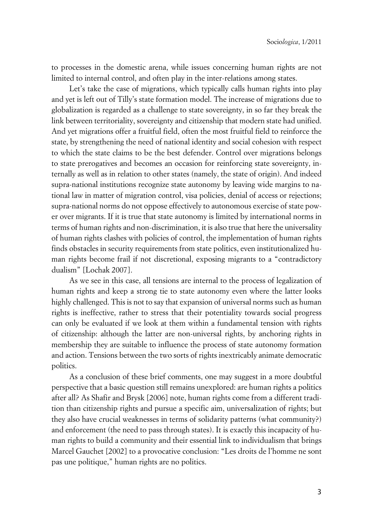to processes in the domestic arena, while issues concerning human rights are not limited to internal control, and often play in the inter-relations among states.

Let's take the case of migrations, which typically calls human rights into play and yet is left out of Tilly's state formation model. The increase of migrations due to globalization is regarded as a challenge to state sovereignty, in so far they break the link between territoriality, sovereignty and citizenship that modern state had unified. And yet migrations offer a fruitful field, often the most fruitful field to reinforce the state, by strengthening the need of national identity and social cohesion with respect to which the state claims to be the best defender. Control over migrations belongs to state prerogatives and becomes an occasion for reinforcing state sovereignty, internally as well as in relation to other states (namely, the state of origin). And indeed supra-national institutions recognize state autonomy by leaving wide margins to national law in matter of migration control, visa policies, denial of access or rejections; supra-national norms do not oppose effectively to autonomous exercise of state power over migrants. If it is true that state autonomy is limited by international norms in terms of human rights and non-discrimination, it is also true that here the universality of human rights clashes with policies of control, the implementation of human rights finds obstacles in security requirements from state politics, even institutionalized human rights become frail if not discretional, exposing migrants to a "contradictory dualism" [Lochak 2007].

As we see in this case, all tensions are internal to the process of legalization of human rights and keep a strong tie to state autonomy even where the latter looks highly challenged. This is not to say that expansion of universal norms such as human rights is ineffective, rather to stress that their potentiality towards social progress can only be evaluated if we look at them within a fundamental tension with rights of citizenship: although the latter are non-universal rights, by anchoring rights in membership they are suitable to influence the process of state autonomy formation and action. Tensions between the two sorts of rights inextricably animate democratic politics.

As a conclusion of these brief comments, one may suggest in a more doubtful perspective that a basic question still remains unexplored: are human rights a politics after all? As Shafir and Brysk [2006] note, human rights come from a different tradition than citizenship rights and pursue a specific aim, universalization of rights; but they also have crucial weaknesses in terms of solidarity patterns (what community?) and enforcement (the need to pass through states). It is exactly this incapacity of human rights to build a community and their essential link to individualism that brings Marcel Gauchet [2002] to a provocative conclusion: "Les droits de l'homme ne sont pas une politique," human rights are no politics.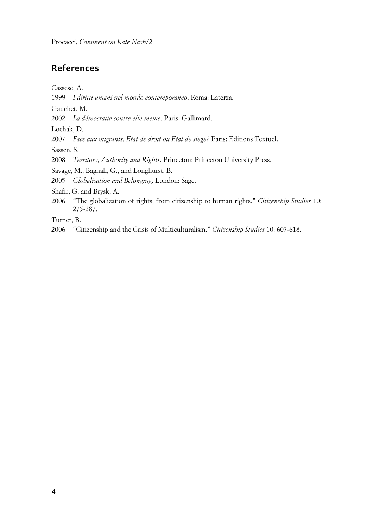Procacci, *Comment on Kate Nash/2*

### **References**

Cassese, A.

1999 *I diritti umani nel mondo contemporaneo*. Roma: Laterza.

Gauchet, M.

2002 *La démocratie contre elle-meme.* Paris: Gallimard.

Lochak, D.

2007 *Face aux migrants: Etat de droit ou Etat de siege?* Paris: Editions Textuel.

Sassen, S.

2008 *Territory, Authority and Rights*. Princeton: Princeton University Press.

Savage, M., Bagnall, G., and Longhurst, B.

2005 *Globalisation and Belonging*. London: Sage.

Shafir, G. and Brysk, A.

2006 "The globalization of rights; from citizenship to human rights." *Citizenship Studies* 10: 275-287.

Turner, B.

2006 "Citizenship and the Crisis of Multiculturalism." *Citizenship Studies* 10: 607-618.